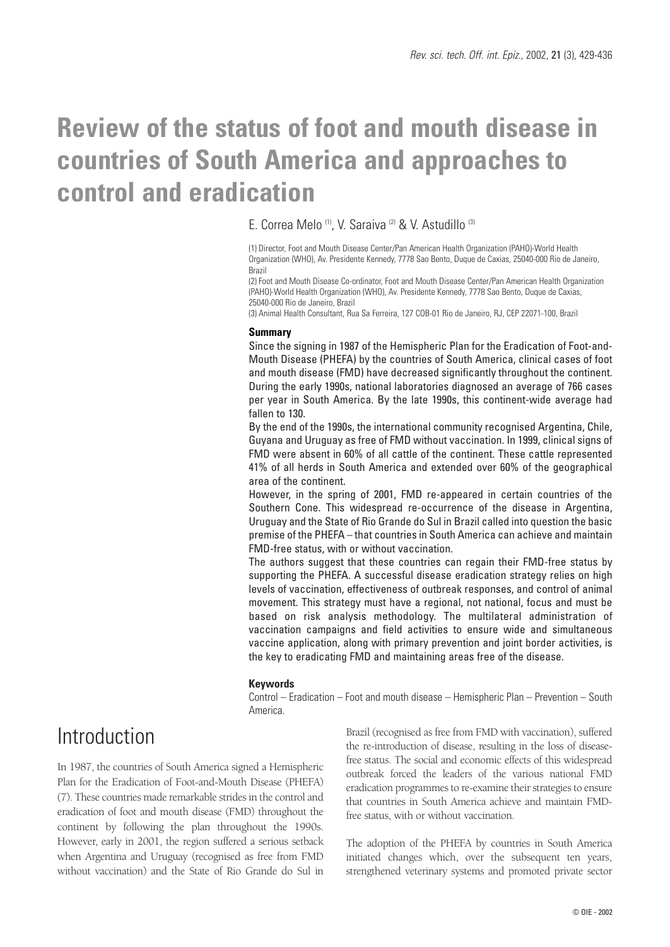# **Review of the status of foot and mouth disease in countries of South America and approaches to control and eradication**

E. Correa Melo (1), V. Saraiva (2) & V. Astudillo (3)

(1) Director, Foot and Mouth Disease Center/Pan American Health Organization (PAHO)-World Health Organization (WHO), Av. Presidente Kennedy, 7778 Sao Bento, Duque de Caxias, 25040-000 Rio de Janeiro, Brazil

(2) Foot and Mouth Disease Co-ordinator, Foot and Mouth Disease Center/Pan American Health Organization (PAHO)-World Health Organization (WHO), Av. Presidente Kennedy, 7778 Sao Bento, Duque de Caxias, 25040-000 Rio de Janeiro, Brazil

(3) Animal Health Consultant, Rua Sa Ferreira, 127 COB-01 Rio de Janeiro, RJ, CEP 22071-100, Brazil

#### **Summary**

Since the signing in 1987 of the Hemispheric Plan for the Eradication of Foot-and-Mouth Disease (PHEFA) by the countries of South America, clinical cases of foot and mouth disease (FMD) have decreased significantly throughout the continent. During the early 1990s, national laboratories diagnosed an average of 766 cases per year in South America. By the late 1990s, this continent-wide average had fallen to 130.

By the end of the 1990s, the international community recognised Argentina, Chile, Guyana and Uruguay as free of FMD without vaccination. In 1999, clinical signs of FMD were absent in 60% of all cattle of the continent. These cattle represented 41% of all herds in South America and extended over 60% of the geographical area of the continent.

However, in the spring of 2001, FMD re-appeared in certain countries of the Southern Cone. This widespread re-occurrence of the disease in Argentina, Uruguay and the State of Rio Grande do Sul in Brazil called into question the basic premise of the PHEFA – that countries in South America can achieve and maintain FMD-free status, with or without vaccination.

The authors suggest that these countries can regain their FMD-free status by supporting the PHEFA. A successful disease eradication strategy relies on high levels of vaccination, effectiveness of outbreak responses, and control of animal movement. This strategy must have a regional, not national, focus and must be based on risk analysis methodology. The multilateral administration of vaccination campaigns and field activities to ensure wide and simultaneous vaccine application, along with primary prevention and joint border activities, is the key to eradicating FMD and maintaining areas free of the disease.

#### **Keywords**

Control – Eradication – Foot and mouth disease – Hemispheric Plan – Prevention – South America.

## Introduction

In 1987, the countries of South America signed a Hemispheric Plan for the Eradication of Foot-and-Mouth Disease (PHEFA) (7). These countries made remarkable strides in the control and eradication of foot and mouth disease (FMD) throughout the continent by following the plan throughout the 1990s. However, early in 2001, the region suffered a serious setback when Argentina and Uruguay (recognised as free from FMD without vaccination) and the State of Rio Grande do Sul in Brazil (recognised as free from FMD with vaccination), suffered the re-introduction of disease, resulting in the loss of diseasefree status. The social and economic effects of this widespread outbreak forced the leaders of the various national FMD eradication programmes to re-examine their strategies to ensure that countries in South America achieve and maintain FMDfree status, with or without vaccination.

The adoption of the PHEFA by countries in South America initiated changes which, over the subsequent ten years, strengthened veterinary systems and promoted private sector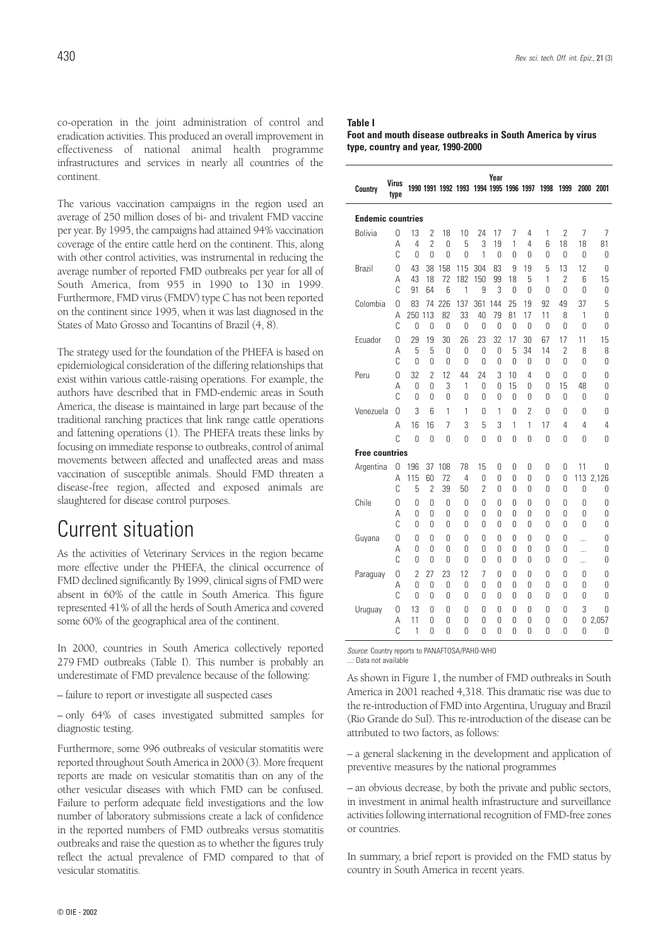co-operation in the joint administration of control and eradication activities. This produced an overall improvement in effectiveness of national animal health programme infrastructures and services in nearly all countries of the continent.

The various vaccination campaigns in the region used an average of 250 million doses of bi- and trivalent FMD vaccine per year. By 1995, the campaigns had attained 94% vaccination coverage of the entire cattle herd on the continent. This, along with other control activities, was instrumental in reducing the average number of reported FMD outbreaks per year for all of South America, from 955 in 1990 to 130 in 1999. Furthermore, FMD virus (FMDV) type C has not been reported on the continent since 1995, when it was last diagnosed in the States of Mato Grosso and Tocantins of Brazil (4, 8).

The strategy used for the foundation of the PHEFA is based on epidemiological consideration of the differing relationships that exist within various cattle-raising operations. For example, the authors have described that in FMD-endemic areas in South America, the disease is maintained in large part because of the traditional ranching practices that link range cattle operations and fattening operations (1). The PHEFA treats these links by focusing on immediate response to outbreaks, control of animal movements between affected and unaffected areas and mass vaccination of susceptible animals. Should FMD threaten a disease-free region, affected and exposed animals are slaughtered for disease control purposes.

### Current situation

As the activities of Veterinary Services in the region became more effective under the PHEFA, the clinical occurrence of FMD declined significantly. By 1999, clinical signs of FMD were absent in 60% of the cattle in South America. This figure represented 41% of all the herds of South America and covered some 60% of the geographical area of the continent.

In 2000, countries in South America collectively reported 279 FMD outbreaks (Table I). This number is probably an underestimate of FMD prevalence because of the following:

– failure to report or investigate all suspected cases

– only 64% of cases investigated submitted samples for diagnostic testing.

Furthermore, some 996 outbreaks of vesicular stomatitis were reported throughout South America in 2000 (3). More frequent reports are made on vesicular stomatitis than on any of the other vesicular diseases with which FMD can be confused. Failure to perform adequate field investigations and the low number of laboratory submissions create a lack of confidence in the reported numbers of FMD outbreaks versus stomatitis outbreaks and raise the question as to whether the figures truly reflect the actual prevalence of FMD compared to that of vesicular stomatitis.

| <b>Table I</b>                                             |
|------------------------------------------------------------|
| Foot and mouth disease outbreaks in South America by virus |
| type, country and year, 1990-2000                          |

| Country                                                                                                | <b>Virus</b><br>type |                     |                            |               | 1990 1991 1992 1993 1994 1995 1996 1997 |           | Year      |               |          | 1998     | 1999                |                | 2000 2001  |
|--------------------------------------------------------------------------------------------------------|----------------------|---------------------|----------------------------|---------------|-----------------------------------------|-----------|-----------|---------------|----------|----------|---------------------|----------------|------------|
| <b>Endemic countries</b>                                                                               |                      |                     |                            |               |                                         |           |           |               |          |          |                     |                |            |
| <b>Bolivia</b>                                                                                         | 0                    | 13                  | $\overline{2}$             | 18            | 10                                      | 24        | 17        | 7             | 4        | 1        | $\overline{2}$      | 7              | 7          |
|                                                                                                        | А<br>C               | 4<br>0              | $\overline{2}$<br>$\Omega$ | 0<br>0        | 5<br>0                                  | 3<br>1    | 19<br>0   | 1<br>0        | 4<br>0   | 6<br>0   | 18<br>0             | 18<br>0        | 81<br>0    |
| <b>Brazil</b>                                                                                          | 0                    | 43                  | 38                         | 158           | 115                                     | 304       | 83        | 9             | 19       | 5        | 13                  | 12             | 0          |
|                                                                                                        | Α                    | 43                  | 18                         | 72            | 182                                     | 150       | 99        | 18            | 5        | 1        | $\overline{2}$      | 6              | 15         |
|                                                                                                        | C                    | 91                  | 64                         | 6             | 1                                       | 9         | 3         | $\Omega$      | 0        | 0        | $\Omega$            | 0              | 0          |
| Colombia                                                                                               | 0<br>А               | 83<br>250 113       | 74                         | 226<br>82     | 137<br>33                               | 361<br>40 | 144<br>79 | 25<br>81      | 19<br>17 | 92<br>11 | 49<br>8             | 37<br>1        | 5<br>0     |
|                                                                                                        | C                    | 0                   | 0                          | 0             | 0                                       | 0         | 0         | $\Omega$      | $\Omega$ | 0        | 0                   | 0              | Ŋ          |
| Ecuador                                                                                                | 0                    | 29                  | 19                         | 30            | 26                                      | 23        | 32        | 17            | 30       | 67       | 17                  | 11             | 15         |
|                                                                                                        | Α<br>Ċ               | 5<br>$\Omega$       | 5<br>0                     | 0<br>$\Omega$ | 0<br>0                                  | 0<br>0    | 0<br>0    | 5<br>$\Omega$ | 34<br>0  | 14<br>0  | $\overline{2}$<br>0 | 8<br>0         | 8<br>0     |
| Peru                                                                                                   | 0                    | 32                  | $\overline{2}$             | 12            | 44                                      | 24        | 3         | 10            | 4        | 0        | $\Omega$            | 0              | 0          |
|                                                                                                        | Α                    | $\Omega$            | 0                          | 3             | 1                                       | 0         | 0         | 15            | 0        | 0        | 15                  | 48             | 0          |
|                                                                                                        | C                    | $\Omega$            | 0                          | 0             | 0                                       | 0         | 0         | 0             | 0        | 0        | 0                   | 0              | 0          |
| Venezuela                                                                                              | 0                    | 3                   | 6                          | 1             | 1                                       | 0         | 1         | 0             | 2        | 0        | 0                   | 0              | 0          |
|                                                                                                        | Α<br>Ċ               | 16                  | 16                         | 7             | 3                                       | 5         | 3         | 1             | 1        | 17       | 4                   | 4              | 4          |
|                                                                                                        |                      | $\Omega$            | $\Omega$                   | $\Omega$      | $\Omega$                                | 0         | 0         | 0             | Ū        | 0        | U                   | U              | U          |
| <b>Free countries</b><br>196<br>15<br>Argentina<br>0<br>37<br>108<br>78<br>0<br>0<br>0<br>0<br>0<br>11 |                      |                     |                            |               |                                         |           |           |               | 0        |          |                     |                |            |
|                                                                                                        | А                    | 115                 | 60                         | 72            | 4                                       | 0         | U         | Ŋ             | 0        | 0        | 0                   | 113            | 2,126      |
|                                                                                                        | C                    | 5                   | 2                          | 39            | 50                                      | 2         | 0         | 0             | 0        | 0        | 0                   | 0              | 0          |
| Chile                                                                                                  | 0<br>А               | 0<br>$\Omega$       | 0<br>0                     | 0<br>0        | 0<br>0                                  | 0<br>0    | 0<br>0    | Ŋ<br>0        | Ŋ<br>0   | 0<br>0   | 0<br>0              | 0<br>0         | 0<br>0     |
|                                                                                                        | C                    | $\Omega$            | 0                          | 0             | 0                                       | 0         | U         | U             | U        | 0        | U                   | U              | U          |
| Guyana                                                                                                 | 0                    | 0                   | 0                          | 0             | 0                                       | 0         | 0         | 0             | 0        | 0        | 0                   | $\cdots$       | 0          |
|                                                                                                        | A<br>C               | 0                   | 0                          | 0             | 0                                       | 0         | 0         | 0             | 0        | 0        | 0                   | .              | 0          |
| Paraguay                                                                                               | 0                    | 0<br>$\overline{2}$ | 0<br>27                    | 0<br>23       | 0<br>12                                 | 0<br>7    | 0<br>0    | 0<br>0        | 0<br>Ŋ   | 0<br>0   | 0<br>U              | $\ddotsc$<br>0 | 0<br>0     |
|                                                                                                        | Α                    | 0                   | 0                          | 0             | 0                                       | 0         | 0         | 0             | 0        | 0        | 0                   | 0              | 0          |
|                                                                                                        | Ċ                    | 0                   | 0                          | 0             | 0                                       | 0         | U         | U             | Ŋ        | 0        | U                   | 0              | Ŋ          |
| Uruguay                                                                                                | 0<br>Α               | 13<br>11            | 0<br>0                     | 0<br>0        | 0<br>0                                  | 0<br>0    | 0<br>0    | 0<br>0        | 0<br>0   | 0<br>0   | 0<br>0              | 3<br>0         | 0<br>2,057 |
|                                                                                                        | C                    | 1                   | 0                          | 0             | 0                                       | 0         | 0         | 0             | Ŋ        | 0        | U                   | 0              | 0          |

*Source*: Country reports to PANAFTOSA/PAHO-WHO ...: Data not available

As shown in Figure 1, the number of FMD outbreaks in South America in 2001 reached 4,318. This dramatic rise was due to the re-introduction of FMD into Argentina, Uruguay and Brazil (Rio Grande do Sul). This re-introduction of the disease can be attributed to two factors, as follows:

– a general slackening in the development and application of preventive measures by the national programmes

– an obvious decrease, by both the private and public sectors, in investment in animal health infrastructure and surveillance activities following international recognition of FMD-free zones or countries.

In summary, a brief report is provided on the FMD status by country in South America in recent years.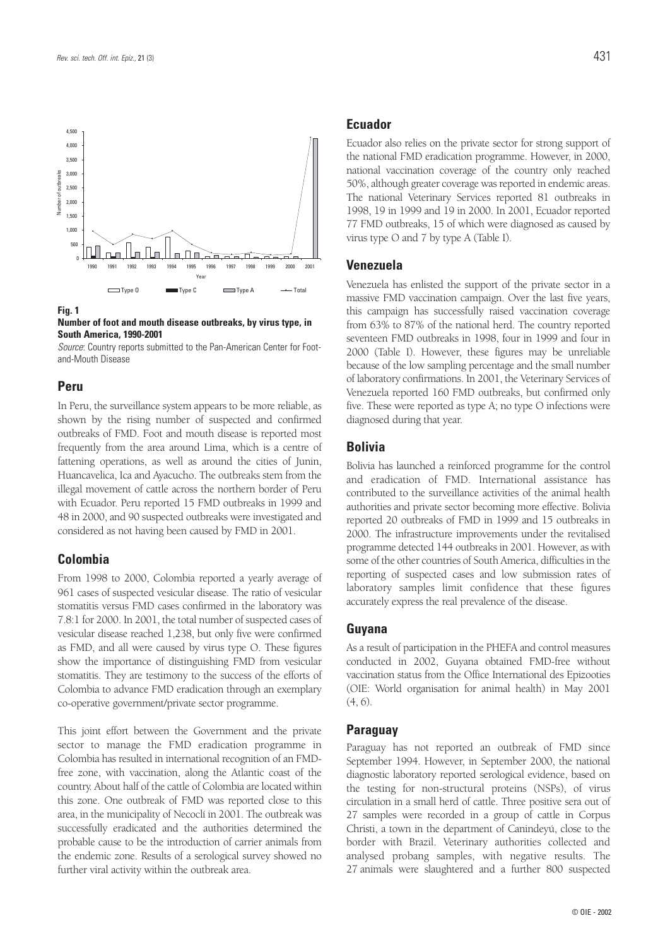

#### **Fig. 1**

#### **Number of foot and mouth disease outbreaks, by virus type, in South America, 1990-2001**

*Source*: Country reports submitted to the Pan-American Center for Footand-Mouth Disease

#### **Peru**

In Peru, the surveillance system appears to be more reliable, as shown by the rising number of suspected and confirmed outbreaks of FMD. Foot and mouth disease is reported most frequently from the area around Lima, which is a centre of fattening operations, as well as around the cities of Junin, Huancavelica, Ica and Ayacucho. The outbreaks stem from the illegal movement of cattle across the northern border of Peru with Ecuador. Peru reported 15 FMD outbreaks in 1999 and 48 in 2000, and 90 suspected outbreaks were investigated and considered as not having been caused by FMD in 2001.

#### **Colombia**

From 1998 to 2000, Colombia reported a yearly average of 961 cases of suspected vesicular disease. The ratio of vesicular stomatitis versus FMD cases confirmed in the laboratory was 7.8:1 for 2000. In 2001, the total number of suspected cases of vesicular disease reached 1,238, but only five were confirmed as FMD, and all were caused by virus type O. These figures show the importance of distinguishing FMD from vesicular stomatitis. They are testimony to the success of the efforts of Colombia to advance FMD eradication through an exemplary co-operative government/private sector programme.

This joint effort between the Government and the private sector to manage the FMD eradication programme in Colombia has resulted in international recognition of an FMDfree zone, with vaccination, along the Atlantic coast of the country. About half of the cattle of Colombia are located within this zone. One outbreak of FMD was reported close to this area, in the municipality of Necoclí in 2001. The outbreak was successfully eradicated and the authorities determined the probable cause to be the introduction of carrier animals from the endemic zone. Results of a serological survey showed no further viral activity within the outbreak area.

#### **Ecuador**

Ecuador also relies on the private sector for strong support of the national FMD eradication programme. However, in 2000, national vaccination coverage of the country only reached 50%, although greater coverage was reported in endemic areas. The national Veterinary Services reported 81 outbreaks in 1998, 19 in 1999 and 19 in 2000. In 2001, Ecuador reported 77 FMD outbreaks, 15 of which were diagnosed as caused by virus type O and 7 by type A (Table I).

#### **Venezuela**

Venezuela has enlisted the support of the private sector in a massive FMD vaccination campaign. Over the last five years, this campaign has successfully raised vaccination coverage from 63% to 87% of the national herd. The country reported seventeen FMD outbreaks in 1998, four in 1999 and four in 2000 (Table I). However, these figures may be unreliable because of the low sampling percentage and the small number of laboratory confirmations. In 2001, the Veterinary Services of Venezuela reported 160 FMD outbreaks, but confirmed only five. These were reported as type A; no type O infections were diagnosed during that year.

#### **Bolivia**

Bolivia has launched a reinforced programme for the control and eradication of FMD. International assistance has contributed to the surveillance activities of the animal health authorities and private sector becoming more effective. Bolivia reported 20 outbreaks of FMD in 1999 and 15 outbreaks in 2000. The infrastructure improvements under the revitalised programme detected 144 outbreaks in 2001. However, as with some of the other countries of South America, difficulties in the reporting of suspected cases and low submission rates of laboratory samples limit confidence that these figures accurately express the real prevalence of the disease.

#### **Guyana**

As a result of participation in the PHEFA and control measures conducted in 2002, Guyana obtained FMD-free without vaccination status from the Office International des Epizooties (OIE: World organisation for animal health) in May 2001 (4, 6).

#### **Paraguay**

Paraguay has not reported an outbreak of FMD since September 1994. However, in September 2000, the national diagnostic laboratory reported serological evidence, based on the testing for non-structural proteins (NSPs), of virus circulation in a small herd of cattle. Three positive sera out of 27 samples were recorded in a group of cattle in Corpus Christi, a town in the department of Canindeyú, close to the border with Brazil. Veterinary authorities collected and analysed probang samples, with negative results. The 27 animals were slaughtered and a further 800 suspected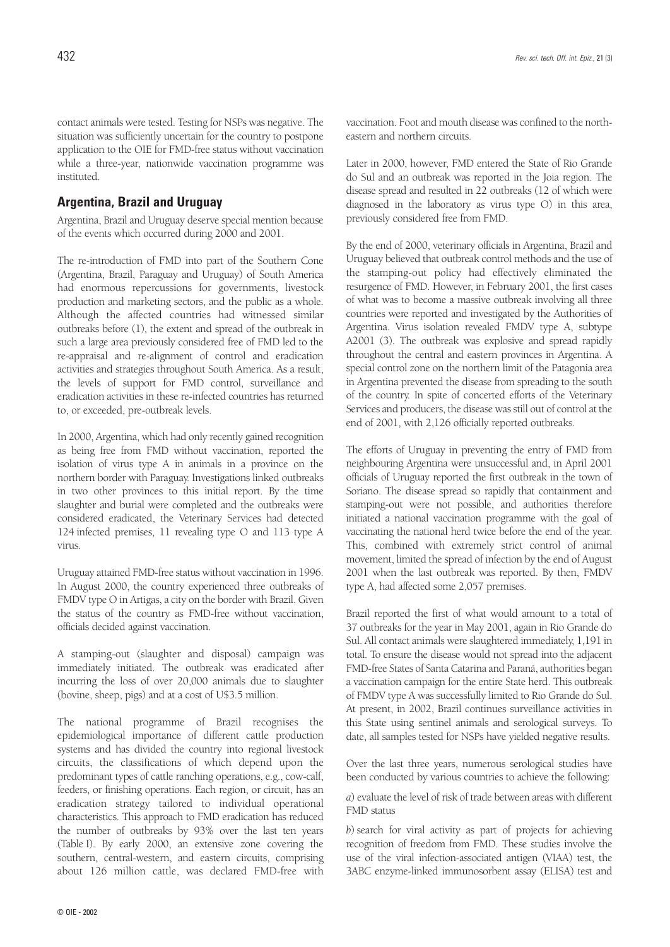contact animals were tested. Testing for NSPs was negative. The situation was sufficiently uncertain for the country to postpone application to the OIE for FMD-free status without vaccination while a three-year, nationwide vaccination programme was instituted.

#### **Argentina, Brazil and Uruguay**

Argentina, Brazil and Uruguay deserve special mention because of the events which occurred during 2000 and 2001.

The re-introduction of FMD into part of the Southern Cone (Argentina, Brazil, Paraguay and Uruguay) of South America had enormous repercussions for governments, livestock production and marketing sectors, and the public as a whole. Although the affected countries had witnessed similar outbreaks before (1), the extent and spread of the outbreak in such a large area previously considered free of FMD led to the re-appraisal and re-alignment of control and eradication activities and strategies throughout South America. As a result, the levels of support for FMD control, surveillance and eradication activities in these re-infected countries has returned to, or exceeded, pre-outbreak levels.

In 2000, Argentina, which had only recently gained recognition as being free from FMD without vaccination, reported the isolation of virus type A in animals in a province on the northern border with Paraguay. Investigations linked outbreaks in two other provinces to this initial report. By the time slaughter and burial were completed and the outbreaks were considered eradicated, the Veterinary Services had detected 124 infected premises, 11 revealing type O and 113 type A virus.

Uruguay attained FMD-free status without vaccination in 1996. In August 2000, the country experienced three outbreaks of FMDV type O in Artigas, a city on the border with Brazil. Given the status of the country as FMD-free without vaccination, officials decided against vaccination.

A stamping-out (slaughter and disposal) campaign was immediately initiated. The outbreak was eradicated after incurring the loss of over 20,000 animals due to slaughter (bovine, sheep, pigs) and at a cost of U\$3.5 million.

The national programme of Brazil recognises the epidemiological importance of different cattle production systems and has divided the country into regional livestock circuits, the classifications of which depend upon the predominant types of cattle ranching operations, e.g., cow-calf, feeders, or finishing operations. Each region, or circuit, has an eradication strategy tailored to individual operational characteristics. This approach to FMD eradication has reduced the number of outbreaks by 93% over the last ten years (Table I). By early 2000, an extensive zone covering the southern, central-western, and eastern circuits, comprising about 126 million cattle, was declared FMD-free with

© OIE - 2002

vaccination. Foot and mouth disease was confined to the northeastern and northern circuits.

Later in 2000, however, FMD entered the State of Rio Grande do Sul and an outbreak was reported in the Joia region. The disease spread and resulted in 22 outbreaks (12 of which were diagnosed in the laboratory as virus type O) in this area, previously considered free from FMD.

By the end of 2000, veterinary officials in Argentina, Brazil and Uruguay believed that outbreak control methods and the use of the stamping-out policy had effectively eliminated the resurgence of FMD. However, in February 2001, the first cases of what was to become a massive outbreak involving all three countries were reported and investigated by the Authorities of Argentina. Virus isolation revealed FMDV type A, subtype A2001 (3). The outbreak was explosive and spread rapidly throughout the central and eastern provinces in Argentina. A special control zone on the northern limit of the Patagonia area in Argentina prevented the disease from spreading to the south of the country. In spite of concerted efforts of the Veterinary Services and producers, the disease was still out of control at the end of 2001, with 2,126 officially reported outbreaks.

The efforts of Uruguay in preventing the entry of FMD from neighbouring Argentina were unsuccessful and, in April 2001 officials of Uruguay reported the first outbreak in the town of Soriano. The disease spread so rapidly that containment and stamping-out were not possible, and authorities therefore initiated a national vaccination programme with the goal of vaccinating the national herd twice before the end of the year. This, combined with extremely strict control of animal movement, limited the spread of infection by the end of August 2001 when the last outbreak was reported. By then, FMDV type A, had affected some 2,057 premises.

Brazil reported the first of what would amount to a total of 37 outbreaks for the year in May 2001, again in Rio Grande do Sul. All contact animals were slaughtered immediately, 1,191 in total. To ensure the disease would not spread into the adjacent FMD-free States of Santa Catarina and Paraná, authorities began a vaccination campaign for the entire State herd. This outbreak of FMDV type A was successfully limited to Rio Grande do Sul. At present, in 2002, Brazil continues surveillance activities in this State using sentinel animals and serological surveys. To date, all samples tested for NSPs have yielded negative results.

Over the last three years, numerous serological studies have been conducted by various countries to achieve the following:

*a*) evaluate the level of risk of trade between areas with different FMD status

*b*) search for viral activity as part of projects for achieving recognition of freedom from FMD. These studies involve the use of the viral infection-associated antigen (VIAA) test, the 3ABC enzyme-linked immunosorbent assay (ELISA) test and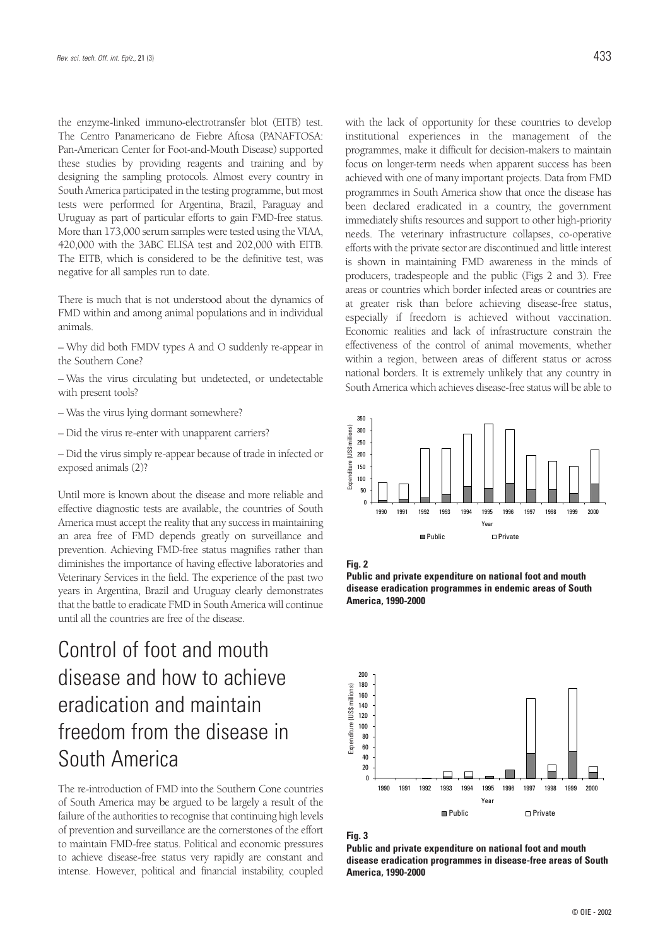the enzyme-linked immuno-electrotransfer blot (EITB) test. The Centro Panamericano de Fiebre Aftosa (PANAFTOSA: Pan-American Center for Foot-and-Mouth Disease) supported these studies by providing reagents and training and by designing the sampling protocols. Almost every country in South America participated in the testing programme, but most tests were performed for Argentina, Brazil, Paraguay and Uruguay as part of particular efforts to gain FMD-free status. More than 173,000 serum samples were tested using the VIAA, 420,000 with the 3ABC ELISA test and 202,000 with EITB. The EITB, which is considered to be the definitive test, was negative for all samples run to date.

There is much that is not understood about the dynamics of FMD within and among animal populations and in individual animals.

– Why did both FMDV types A and O suddenly re-appear in the Southern Cone?

– Was the virus circulating but undetected, or undetectable with present tools?

- Was the virus lying dormant somewhere?
- Did the virus re-enter with unapparent carriers?
- Did the virus simply re-appear because of trade in infected or exposed animals (2)?

Until more is known about the disease and more reliable and effective diagnostic tests are available, the countries of South America must accept the reality that any success in maintaining an area free of FMD depends greatly on surveillance and prevention. Achieving FMD-free status magnifies rather than diminishes the importance of having effective laboratories and Veterinary Services in the field. The experience of the past two years in Argentina, Brazil and Uruguay clearly demonstrates that the battle to eradicate FMD in South America will continue until all the countries are free of the disease.

## Control of foot and mouth disease and how to achieve eradication and maintain freedom from the disease in South America

The re-introduction of FMD into the Southern Cone countries of South America may be argued to be largely a result of the failure of the authorities to recognise that continuing high levels of prevention and surveillance are the cornerstones of the effort to maintain FMD-free status. Political and economic pressures to achieve disease-free status very rapidly are constant and intense. However, political and financial instability, coupled with the lack of opportunity for these countries to develop institutional experiences in the management of the programmes, make it difficult for decision-makers to maintain focus on longer-term needs when apparent success has been achieved with one of many important projects. Data from FMD programmes in South America show that once the disease has been declared eradicated in a country, the government immediately shifts resources and support to other high-priority needs. The veterinary infrastructure collapses, co-operative efforts with the private sector are discontinued and little interest is shown in maintaining FMD awareness in the minds of producers, tradespeople and the public (Figs 2 and 3). Free areas or countries which border infected areas or countries are at greater risk than before achieving disease-free status, especially if freedom is achieved without vaccination. Economic realities and lack of infrastructure constrain the effectiveness of the control of animal movements, whether within a region, between areas of different status or across national borders. It is extremely unlikely that any country in South America which achieves disease-free status will be able to











**Public and private expenditure on national foot and mouth disease eradication programmes in disease-free areas of South America, 1990-2000**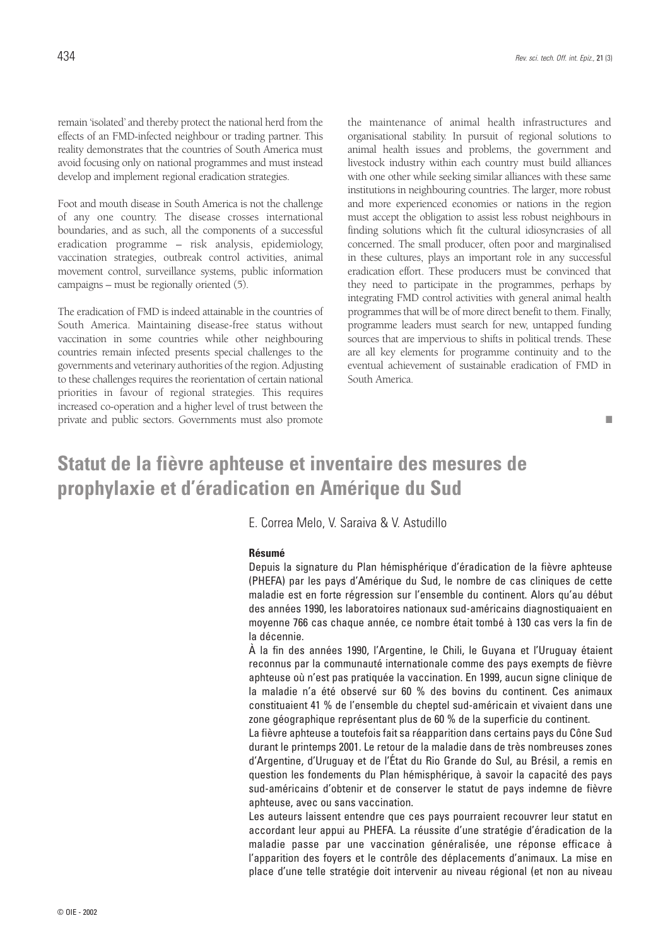remain 'isolated' and thereby protect the national herd from the effects of an FMD-infected neighbour or trading partner. This reality demonstrates that the countries of South America must avoid focusing only on national programmes and must instead develop and implement regional eradication strategies.

Foot and mouth disease in South America is not the challenge of any one country. The disease crosses international boundaries, and as such, all the components of a successful eradication programme – risk analysis, epidemiology, vaccination strategies, outbreak control activities, animal movement control, surveillance systems, public information campaigns – must be regionally oriented  $(5)$ .

The eradication of FMD is indeed attainable in the countries of South America. Maintaining disease-free status without vaccination in some countries while other neighbouring countries remain infected presents special challenges to the governments and veterinary authorities of the region. Adjusting to these challenges requires the reorientation of certain national priorities in favour of regional strategies. This requires increased co-operation and a higher level of trust between the private and public sectors. Governments must also promote

the maintenance of animal health infrastructures and organisational stability. In pursuit of regional solutions to animal health issues and problems, the government and livestock industry within each country must build alliances with one other while seeking similar alliances with these same institutions in neighbouring countries. The larger, more robust and more experienced economies or nations in the region must accept the obligation to assist less robust neighbours in finding solutions which fit the cultural idiosyncrasies of all concerned. The small producer, often poor and marginalised in these cultures, plays an important role in any successful eradication effort. These producers must be convinced that they need to participate in the programmes, perhaps by integrating FMD control activities with general animal health programmes that will be of more direct benefit to them. Finally, programme leaders must search for new, untapped funding sources that are impervious to shifts in political trends. These are all key elements for programme continuity and to the eventual achievement of sustainable eradication of FMD in South America.

#### ■

## **Statut de la fièvre aphteuse et inventaire des mesures de prophylaxie et d'éradication en Amérique du Sud**

E. Correa Melo, V. Saraiva & V. Astudillo

#### **Résumé**

Depuis la signature du Plan hémisphérique d'éradication de la fièvre aphteuse (PHEFA) par les pays d'Amérique du Sud, le nombre de cas cliniques de cette maladie est en forte régression sur l'ensemble du continent. Alors qu'au début des années 1990, les laboratoires nationaux sud-américains diagnostiquaient en moyenne 766 cas chaque année, ce nombre était tombé à 130 cas vers la fin de la décennie.

À la fin des années 1990, l'Argentine, le Chili, le Guyana et l'Uruguay étaient reconnus par la communauté internationale comme des pays exempts de fièvre aphteuse où n'est pas pratiquée la vaccination. En 1999, aucun signe clinique de la maladie n'a été observé sur 60 % des bovins du continent. Ces animaux constituaient 41 % de l'ensemble du cheptel sud-américain et vivaient dans une zone géographique représentant plus de 60 % de la superficie du continent.

La fièvre aphteuse a toutefois fait sa réapparition dans certains pays du Cône Sud durant le printemps 2001. Le retour de la maladie dans de très nombreuses zones d'Argentine, d'Uruguay et de l'État du Rio Grande do Sul, au Brésil, a remis en question les fondements du Plan hémisphérique, à savoir la capacité des pays sud-américains d'obtenir et de conserver le statut de pays indemne de fièvre aphteuse, avec ou sans vaccination.

Les auteurs laissent entendre que ces pays pourraient recouvrer leur statut en accordant leur appui au PHEFA. La réussite d'une stratégie d'éradication de la maladie passe par une vaccination généralisée, une réponse efficace à l'apparition des foyers et le contrôle des déplacements d'animaux. La mise en place d'une telle stratégie doit intervenir au niveau régional (et non au niveau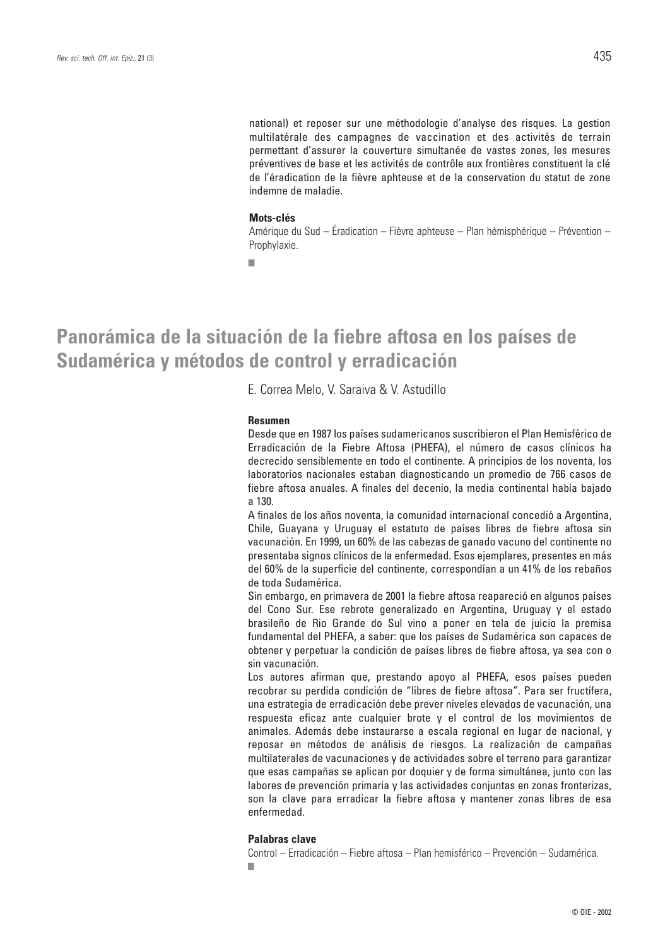national) et reposer sur une méthodologie d'analyse des risques. La gestion multilatérale des campagnes de vaccination et des activités de terrain permettant d'assurer la couverture simultanée de vastes zones, les mesures préventives de base et les activités de contrôle aux frontières constituent la clé de l'éradication de la fièvre aphteuse et de la conservation du statut de zone indemne de maladie.

#### **Mots-clés**

Amérique du Sud – Éradication – Fièvre aphteuse – Plan hémisphérique – Prévention – Prophylaxie.

■

## **Panorámica de la situación de la fiebre aftosa en los países de Sudamérica y métodos de control y erradicación**

E. Correa Melo, V. Saraiva & V. Astudillo

#### **Resumen**

Desde que en 1987 los países sudamericanos suscribieron el Plan Hemisférico de Erradicación de la Fiebre Aftosa (PHEFA), el número de casos clínicos ha decrecido sensiblemente en todo el continente. A principios de los noventa, los laboratorios nacionales estaban diagnosticando un promedio de 766 casos de fiebre aftosa anuales. A finales del decenio, la media continental había bajado a 130.

A finales de los años noventa, la comunidad internacional concedió a Argentina, Chile, Guayana y Uruguay el estatuto de países libres de fiebre aftosa sin vacunación. En 1999, un 60% de las cabezas de ganado vacuno del continente no presentaba signos clínicos de la enfermedad. Esos ejemplares, presentes en más del 60% de la superficie del continente, correspondían a un 41% de los rebaños de toda Sudamérica.

Sin embargo, en primavera de 2001 la fiebre aftosa reapareció en algunos países del Cono Sur. Ese rebrote generalizado en Argentina, Uruguay y el estado brasileño de Rio Grande do Sul vino a poner en tela de juicio la premisa fundamental del PHEFA, a saber: que los países de Sudamérica son capaces de obtener y perpetuar la condición de países libres de fiebre aftosa, ya sea con o sin vacunación.

Los autores afirman que, prestando apoyo al PHEFA, esos países pueden recobrar su perdida condición de "libres de fiebre aftosa". Para ser fructífera, una estrategia de erradicación debe prever niveles elevados de vacunación, una respuesta eficaz ante cualquier brote y el control de los movimientos de animales. Además debe instaurarse a escala regional en lugar de nacional, y reposar en métodos de análisis de riesgos. La realización de campañas multilaterales de vacunaciones y de actividades sobre el terreno para garantizar que esas campañas se aplican por doquier y de forma simultánea, junto con las labores de prevención primaria y las actividades conjuntas en zonas fronterizas, son la clave para erradicar la fiebre aftosa y mantener zonas libres de esa enfermedad.

#### **Palabras clave**

Control – Erradicación – Fiebre aftosa – Plan hemisférico – Prevención – Sudamérica. ■